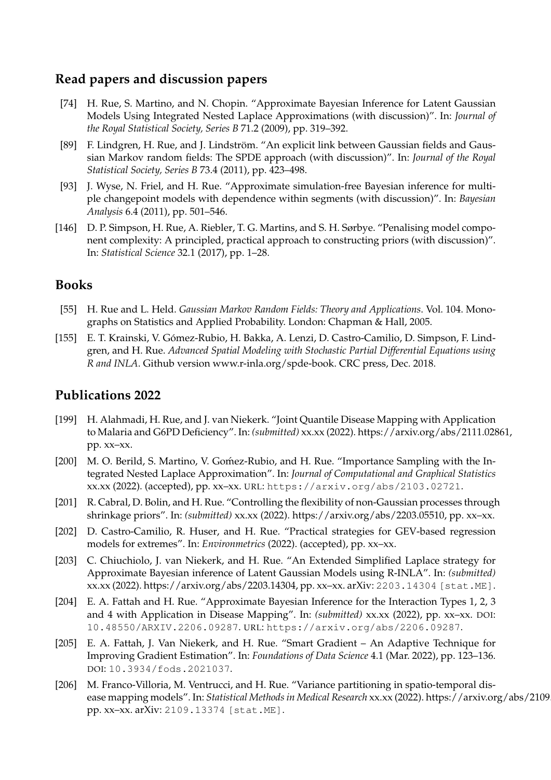# **Read papers and discussion papers**

- [74] H. Rue, S. Martino, and N. Chopin. "Approximate Bayesian Inference for Latent Gaussian Models Using Integrated Nested Laplace Approximations (with discussion)". In: *Journal of the Royal Statistical Society, Series B* 71.2 (2009), pp. 319–392.
- [89] F. Lindgren, H. Rue, and J. Lindström. "An explicit link between Gaussian fields and Gaussian Markov random fields: The SPDE approach (with discussion)". In: *Journal of the Royal Statistical Society, Series B* 73.4 (2011), pp. 423–498.
- [93] J. Wyse, N. Friel, and H. Rue. "Approximate simulation-free Bayesian inference for multiple changepoint models with dependence within segments (with discussion)". In: *Bayesian Analysis* 6.4 (2011), pp. 501–546.
- [146] D. P. Simpson, H. Rue, A. Riebler, T. G. Martins, and S. H. Sørbye. "Penalising model component complexity: A principled, practical approach to constructing priors (with discussion)". In: *Statistical Science* 32.1 (2017), pp. 1–28.

# **Books**

- [55] H. Rue and L. Held. *Gaussian Markov Random Fields: Theory and Applications*. Vol. 104. Monographs on Statistics and Applied Probability. London: Chapman & Hall, 2005.
- [155] E. T. Krainski, V. Gómez-Rubio, H. Bakka, A. Lenzi, D. Castro-Camilio, D. Simpson, F. Lindgren, and H. Rue. *Advanced Spatial Modeling with Stochastic Partial Differential Equations using R and INLA*. Github version www.r-inla.org/spde-book. CRC press, Dec. 2018.

- [199] H. Alahmadi, H. Rue, and J. van Niekerk. "Joint Quantile Disease Mapping with Application to Malaria and G6PD Deficiency". In: *(submitted)* xx.xx (2022). https://arxiv.org/abs/2111.02861, pp. xx–xx.
- [200] M. O. Berild, S. Martino, V. Gomez-Rubio, and H. Rue. "Importance Sampling with the Integrated Nested Laplace Approximation". In: *Journal of Computational and Graphical Statistics* xx.xx (2022). (accepted), pp. xx–xx. URL: https://arxiv.org/abs/2103.02721.
- [201] R. Cabral, D. Bolin, and H. Rue. "Controlling the flexibility of non-Gaussian processes through shrinkage priors". In: *(submitted)* xx.xx (2022). https://arxiv.org/abs/2203.05510, pp. xx–xx.
- [202] D. Castro-Camilio, R. Huser, and H. Rue. "Practical strategies for GEV-based regression models for extremes". In: *Environmetrics* (2022). (accepted), pp. xx–xx.
- [203] C. Chiuchiolo, J. van Niekerk, and H. Rue. "An Extended Simplified Laplace strategy for Approximate Bayesian inference of Latent Gaussian Models using R-INLA". In: *(submitted)* xx.xx (2022). https://arxiv.org/abs/2203.14304, pp. xx–xx. arXiv: 2203.14304 [stat.ME].
- [204] E. A. Fattah and H. Rue. "Approximate Bayesian Inference for the Interaction Types 1, 2, 3 and 4 with Application in Disease Mapping". In: *(submitted)* xx.xx (2022), pp. xx–xx. DOI: 10.48550/ARXIV.2206.09287. URL: https://arxiv.org/abs/2206.09287.
- [205] E. A. Fattah, J. Van Niekerk, and H. Rue. "Smart Gradient An Adaptive Technique for Improving Gradient Estimation". In: *Foundations of Data Science* 4.1 (Mar. 2022), pp. 123–136. DOI: 10.3934/fods.2021037.
- [206] M. Franco-Villoria, M. Ventrucci, and H. Rue. "Variance partitioning in spatio-temporal disease mapping models". In: *Statistical Methods in Medical Research* xx.xx (2022). https://arxiv.org/abs/2109 pp. xx–xx. arXiv: 2109.13374 [stat.ME].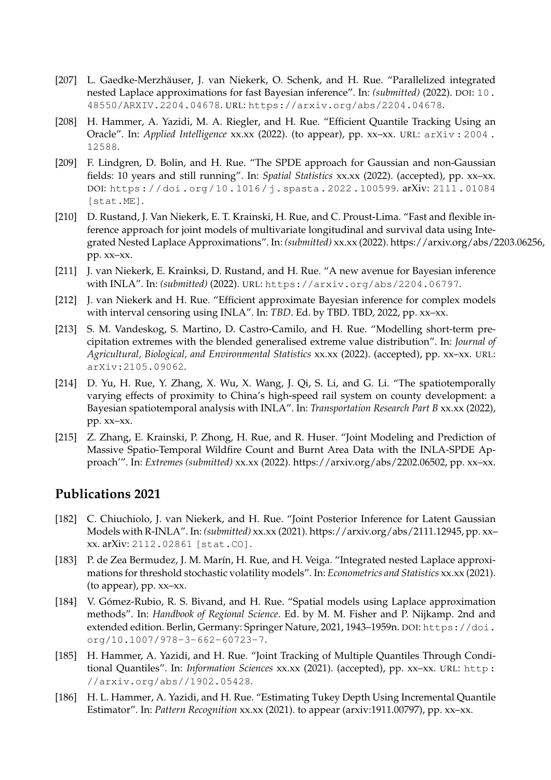- [207] L. Gaedke-Merzhäuser, J. van Niekerk, O. Schenk, and H. Rue. "Parallelized integrated nested Laplace approximations for fast Bayesian inference". In: *(submitted)* (2022). DOI: 10. 48550/ARXIV.2204.04678. URL: https://arxiv.org/abs/2204.04678.
- [208] H. Hammer, A. Yazidi, M. A. Riegler, and H. Rue. "Efficient Quantile Tracking Using an Oracle". In: *Applied Intelligence* xx.xx (2022). (to appear), pp. xx–xx. URL: arXiv : 2004 . 12588.
- [209] F. Lindgren, D. Bolin, and H. Rue. "The SPDE approach for Gaussian and non-Gaussian fields: 10 years and still running". In: *Spatial Statistics* xx.xx (2022). (accepted), pp. xx–xx. DOI: https://doi.org/10.1016/j.spasta.2022.100599. arXiv: 2111.01084 [stat.ME].
- [210] D. Rustand, J. Van Niekerk, E. T. Krainski, H. Rue, and C. Proust-Lima. "Fast and flexible inference approach for joint models of multivariate longitudinal and survival data using Integrated Nested Laplace Approximations". In: *(submitted)* xx.xx (2022). https://arxiv.org/abs/2203.06256, pp. xx–xx.
- [211] J. van Niekerk, E. Krainksi, D. Rustand, and H. Rue. "A new avenue for Bayesian inference with INLA". In: *(submitted)* (2022). URL: https://arxiv.org/abs/2204.06797.
- [212] J. van Niekerk and H. Rue. "Efficient approximate Bayesian inference for complex models with interval censoring using INLA". In: *TBD*. Ed. by TBD. TBD, 2022, pp. xx–xx.
- [213] S. M. Vandeskog, S. Martino, D. Castro-Camilo, and H. Rue. "Modelling short-term precipitation extremes with the blended generalised extreme value distribution". In: *Journal of Agricultural, Biological, and Environmental Statistics* xx.xx (2022). (accepted), pp. xx–xx. URL: arXiv:2105.09062.
- [214] D. Yu, H. Rue, Y. Zhang, X. Wu, X. Wang, J. Qi, S. Li, and G. Li. "The spatiotemporally varying effects of proximity to China's high-speed rail system on county development: a Bayesian spatiotemporal analysis with INLA". In: *Transportation Research Part B* xx.xx (2022), pp. xx–xx.
- [215] Z. Zhang, E. Krainski, P. Zhong, H. Rue, and R. Huser. "Joint Modeling and Prediction of Massive Spatio-Temporal Wildfire Count and Burnt Area Data with the INLA-SPDE Approach'". In: *Extremes (submitted)* xx.xx (2022). https://arxiv.org/abs/2202.06502, pp. xx–xx.

- [182] C. Chiuchiolo, J. van Niekerk, and H. Rue. "Joint Posterior Inference for Latent Gaussian Models with R-INLA". In: *(submitted)* xx.xx (2021). https://arxiv.org/abs/2111.12945, pp. xx– xx. arXiv: 2112.02861 [stat.CO].
- [183] P. de Zea Bermudez, J. M. Marín, H. Rue, and H. Veiga. "Integrated nested Laplace approximations for threshold stochastic volatility models". In: *Econometrics and Statistics* xx.xx (2021). (to appear), pp. xx–xx.
- [184] V. Gómez-Rubio, R. S. Bivand, and H. Rue. "Spatial models using Laplace approximation methods". In: *Handbook of Regional Science*. Ed. by M. M. Fisher and P. Nijkamp. 2nd and extended edition. Berlin, Germany: Springer Nature, 2021, 1943-1959n. DOI: https://doi. org/10.1007/978-3-662-60723-7.
- [185] H. Hammer, A. Yazidi, and H. Rue. "Joint Tracking of Multiple Quantiles Through Conditional Quantiles". In: *Information Sciences* xx.xx (2021). (accepted), pp. xx–xx. URL: http : //arxiv.org/abs//1902.05428.
- [186] H. L. Hammer, A. Yazidi, and H. Rue. "Estimating Tukey Depth Using Incremental Quantile Estimator". In: *Pattern Recognition* xx.xx (2021). to appear (arxiv:1911.00797), pp. xx–xx.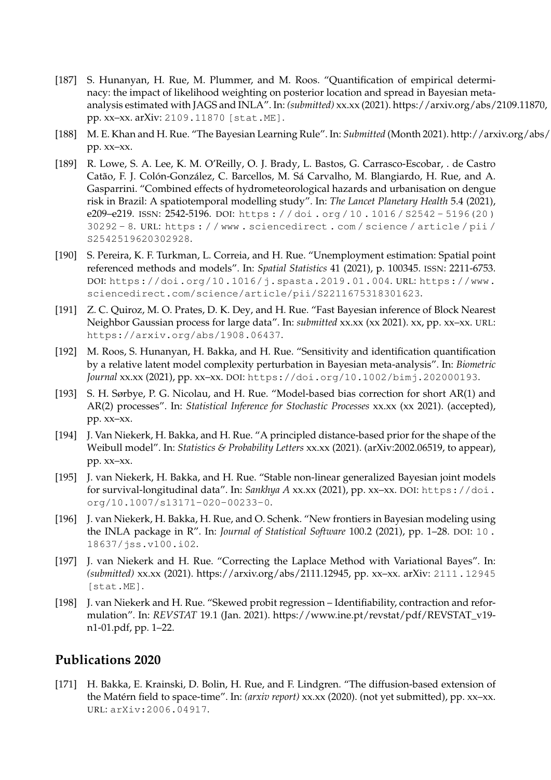- [187] S. Hunanyan, H. Rue, M. Plummer, and M. Roos. "Quantification of empirical determinacy: the impact of likelihood weighting on posterior location and spread in Bayesian metaanalysis estimated with JAGS and INLA". In: *(submitted)* xx.xx (2021). https://arxiv.org/abs/2109.11870, pp. xx–xx. arXiv: 2109.11870 [stat.ME].
- [188] M. E. Khan and H. Rue. "The Bayesian Learning Rule". In: *Submitted* (Month 2021). http://arxiv.org/abs/ pp. xx–xx.
- [189] R. Lowe, S. A. Lee, K. M. O'Reilly, O. J. Brady, L. Bastos, G. Carrasco-Escobar, . de Castro Catão, F. J. Colón-González, C. Barcellos, M. Sá Carvalho, M. Blangiardo, H. Rue, and A. Gasparrini. "Combined effects of hydrometeorological hazards and urbanisation on dengue risk in Brazil: A spatiotemporal modelling study". In: *The Lancet Planetary Health* 5.4 (2021), e209–e219. ISSN: 2542-5196. DOI: https : / / doi . org / 10 . 1016 / S2542 - 5196(20 ) 30292 - 8. URL: https : / / www . sciencedirect . com / science / article / pii / S2542519620302928.
- [190] S. Pereira, K. F. Turkman, L. Correia, and H. Rue. "Unemployment estimation: Spatial point referenced methods and models". In: *Spatial Statistics* 41 (2021), p. 100345. ISSN: 2211-6753. DOI: https://doi.org/10.1016/j.spasta.2019.01.004. URL: https://www. sciencedirect.com/science/article/pii/S2211675318301623.
- [191] Z. C. Quiroz, M. O. Prates, D. K. Dey, and H. Rue. "Fast Bayesian inference of Block Nearest Neighbor Gaussian process for large data". In: *submitted* xx.xx (xx 2021). xx, pp. xx–xx. URL: https://arxiv.org/abs/1908.06437.
- [192] M. Roos, S. Hunanyan, H. Bakka, and H. Rue. "Sensitivity and identification quantification by a relative latent model complexity perturbation in Bayesian meta-analysis". In: *Biometric Journal* xx.xx (2021), pp. xx–xx. DOI: https://doi.org/10.1002/bimj.202000193.
- [193] S. H. Sørbye, P. G. Nicolau, and H. Rue. "Model-based bias correction for short AR(1) and AR(2) processes". In: *Statistical Inference for Stochastic Processes* xx.xx (xx 2021). (accepted), pp. xx–xx.
- [194] J. Van Niekerk, H. Bakka, and H. Rue. "A principled distance-based prior for the shape of the Weibull model". In: *Statistics & Probability Letters xx.xx* (2021). (arXiv:2002.06519, to appear), pp. xx–xx.
- [195] J. van Niekerk, H. Bakka, and H. Rue. "Stable non-linear generalized Bayesian joint models for survival-longitudinal data". In: *Sankhya A xx.xx* (2021), pp. xx-xx. DOI: https://doi. org/10.1007/s13171-020-00233-0.
- [196] J. van Niekerk, H. Bakka, H. Rue, and O. Schenk. "New frontiers in Bayesian modeling using the INLA package in R". In: *Journal of Statistical Software* 100.2 (2021), pp. 1–28. DOI: 10 . 18637/jss.v100.i02.
- [197] J. van Niekerk and H. Rue. "Correcting the Laplace Method with Variational Bayes". In: *(submitted)* xx.xx (2021). https://arxiv.org/abs/2111.12945, pp. xx–xx. arXiv: 2111.12945 [stat.ME].
- [198] J. van Niekerk and H. Rue. "Skewed probit regression Identifiability, contraction and reformulation". In: *REVSTAT* 19.1 (Jan. 2021). https://www.ine.pt/revstat/pdf/REVSTAT\_v19 n1-01.pdf, pp. 1–22.

[171] H. Bakka, E. Krainski, D. Bolin, H. Rue, and F. Lindgren. "The diffusion-based extension of the Matérn field to space-time". In: *(arxiv report)* xx.xx (2020). (not yet submitted), pp. xx–xx. URL: arXiv:2006.04917.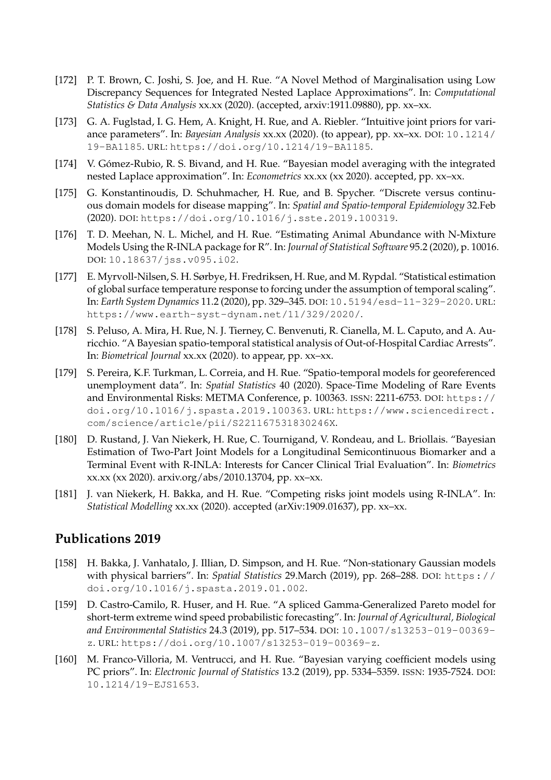- [172] P. T. Brown, C. Joshi, S. Joe, and H. Rue. "A Novel Method of Marginalisation using Low Discrepancy Sequences for Integrated Nested Laplace Approximations". In: *Computational Statistics & Data Analysis* xx.xx (2020). (accepted, arxiv:1911.09880), pp. xx–xx.
- [173] G. A. Fuglstad, I. G. Hem, A. Knight, H. Rue, and A. Riebler. "Intuitive joint priors for variance parameters". In: *Bayesian Analysis* xx.xx (2020). (to appear), pp. xx–xx. DOI: 10.1214/ 19-BA1185. URL: https://doi.org/10.1214/19-BA1185.
- [174] V. Gómez-Rubio, R. S. Bivand, and H. Rue. "Bayesian model averaging with the integrated nested Laplace approximation". In: *Econometrics* xx.xx (xx 2020). accepted, pp. xx–xx.
- [175] G. Konstantinoudis, D. Schuhmacher, H. Rue, and B. Spycher. "Discrete versus continuous domain models for disease mapping". In: *Spatial and Spatio-temporal Epidemiology* 32.Feb (2020). DOI: https://doi.org/10.1016/j.sste.2019.100319.
- [176] T. D. Meehan, N. L. Michel, and H. Rue. "Estimating Animal Abundance with N-Mixture Models Using the R-INLA package for R". In: *Journal of Statistical Software* 95.2 (2020), p. 10016. DOI: 10.18637/jss.v095.i02.
- [177] E. Myrvoll-Nilsen, S. H. Sørbye, H. Fredriksen, H. Rue, and M. Rypdal. "Statistical estimation of global surface temperature response to forcing under the assumption of temporal scaling". In: *Earth System Dynamics* 11.2 (2020), pp. 329–345. DOI: 10.5194/esd-11-329-2020. URL: https://www.earth-syst-dynam.net/11/329/2020/.
- [178] S. Peluso, A. Mira, H. Rue, N. J. Tierney, C. Benvenuti, R. Cianella, M. L. Caputo, and A. Auricchio. "A Bayesian spatio-temporal statistical analysis of Out-of-Hospital Cardiac Arrests". In: *Biometrical Journal* xx.xx (2020). to appear, pp. xx–xx.
- [179] S. Pereira, K.F. Turkman, L. Correia, and H. Rue. "Spatio-temporal models for georeferenced unemployment data". In: *Spatial Statistics* 40 (2020). Space-Time Modeling of Rare Events and Environmental Risks: METMA Conference, p. 100363. ISSN: 2211-6753. DOI: https:// doi.org/10.1016/j.spasta.2019.100363. URL: https://www.sciencedirect. com/science/article/pii/S221167531830246X.
- [180] D. Rustand, J. Van Niekerk, H. Rue, C. Tournigand, V. Rondeau, and L. Briollais. "Bayesian Estimation of Two-Part Joint Models for a Longitudinal Semicontinuous Biomarker and a Terminal Event with R-INLA: Interests for Cancer Clinical Trial Evaluation". In: *Biometrics* xx.xx (xx 2020). arxiv.org/abs/2010.13704, pp. xx–xx.
- [181] J. van Niekerk, H. Bakka, and H. Rue. "Competing risks joint models using R-INLA". In: *Statistical Modelling* xx.xx (2020). accepted (arXiv:1909.01637), pp. xx–xx.

- [158] H. Bakka, J. Vanhatalo, J. Illian, D. Simpson, and H. Rue. "Non-stationary Gaussian models with physical barriers". In: *Spatial Statistics* 29.March (2019), pp. 268–288. DOI: https:// doi.org/10.1016/j.spasta.2019.01.002.
- [159] D. Castro-Camilo, R. Huser, and H. Rue. "A spliced Gamma-Generalized Pareto model for short-term extreme wind speed probabilistic forecasting". In: *Journal of Agricultural, Biological and Environmental Statistics* 24.3 (2019), pp. 517–534. DOI: 10.1007/s13253-019-00369 z. URL: https://doi.org/10.1007/s13253-019-00369-z.
- [160] M. Franco-Villoria, M. Ventrucci, and H. Rue. "Bayesian varying coefficient models using PC priors". In: *Electronic Journal of Statistics* 13.2 (2019), pp. 5334–5359. ISSN: 1935-7524. DOI: 10.1214/19-EJS1653.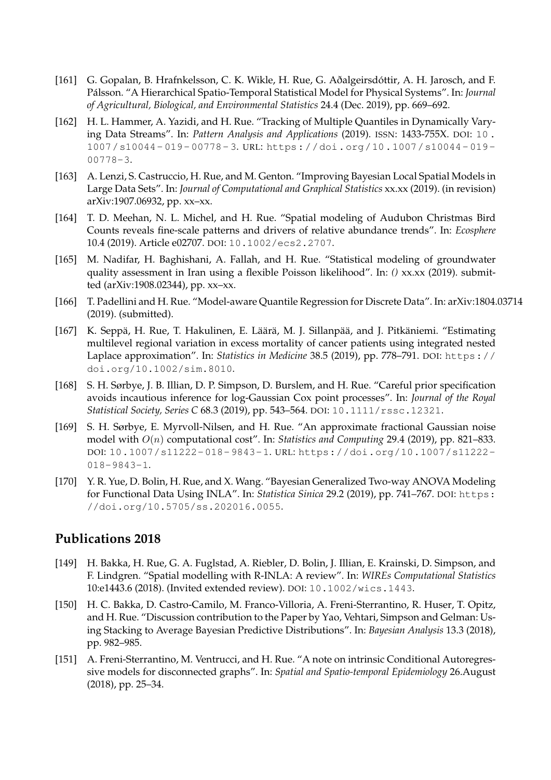- [161] G. Gopalan, B. Hrafnkelsson, C. K. Wikle, H. Rue, G. Aðalgeirsdóttir, A. H. Jarosch, and F. Pálsson. "A Hierarchical Spatio-Temporal Statistical Model for Physical Systems". In: *Journal of Agricultural, Biological, and Environmental Statistics* 24.4 (Dec. 2019), pp. 669–692.
- [162] H. L. Hammer, A. Yazidi, and H. Rue. "Tracking of Multiple Quantiles in Dynamically Varying Data Streams". In: *Pattern Analysis and Applications* (2019). ISSN: 1433-755X. DOI: 10 . 1007/s10044- 019- 00778- 3. URL: https://doi.org/10.1007/s10044- 019- 00778-3.
- [163] A. Lenzi, S. Castruccio, H. Rue, and M. Genton. "Improving Bayesian Local Spatial Models in Large Data Sets". In: *Journal of Computational and Graphical Statistics* xx.xx (2019). (in revision) arXiv:1907.06932, pp. xx–xx.
- [164] T. D. Meehan, N. L. Michel, and H. Rue. "Spatial modeling of Audubon Christmas Bird Counts reveals fine-scale patterns and drivers of relative abundance trends". In: *Ecosphere* 10.4 (2019). Article e02707. DOI: 10.1002/ecs2.2707.
- [165] M. Nadifar, H. Baghishani, A. Fallah, and H. Rue. "Statistical modeling of groundwater quality assessment in Iran using a flexible Poisson likelihood". In: *()* xx.xx (2019). submitted (arXiv:1908.02344), pp. xx–xx.
- [166] T. Padellini and H. Rue. "Model-aware Quantile Regression for Discrete Data". In: arXiv:1804.03714 (2019). (submitted).
- [167] K. Seppä, H. Rue, T. Hakulinen, E. Läärä, M. J. Sillanpää, and J. Pitkäniemi. "Estimating multilevel regional variation in excess mortality of cancer patients using integrated nested Laplace approximation". In: *Statistics in Medicine* 38.5 (2019), pp. 778–791. DOI: https:// doi.org/10.1002/sim.8010.
- [168] S. H. Sørbye, J. B. Illian, D. P. Simpson, D. Burslem, and H. Rue. "Careful prior specification avoids incautious inference for log-Gaussian Cox point processes". In: *Journal of the Royal Statistical Society, Series C* 68.3 (2019), pp. 543–564. DOI: 10.1111/rssc.12321.
- [169] S. H. Sørbye, E. Myrvoll-Nilsen, and H. Rue. "An approximate fractional Gaussian noise model with O(n) computational cost". In: *Statistics and Computing* 29.4 (2019), pp. 821–833. DOI: 10.1007/s11222-018-9843-1. URL: https://doi.org/10.1007/s11222- 018-9843-1.
- [170] Y. R. Yue, D. Bolin, H. Rue, and X. Wang. "Bayesian Generalized Two-way ANOVA Modeling for Functional Data Using INLA". In: *Statistica Sinica* 29.2 (2019), pp. 741–767. DOI: https: //doi.org/10.5705/ss.202016.0055.

- [149] H. Bakka, H. Rue, G. A. Fuglstad, A. Riebler, D. Bolin, J. Illian, E. Krainski, D. Simpson, and F. Lindgren. "Spatial modelling with R-INLA: A review". In: *WIREs Computational Statistics* 10:e1443.6 (2018). (Invited extended review). DOI: 10.1002/wics.1443.
- [150] H. C. Bakka, D. Castro-Camilo, M. Franco-Villoria, A. Freni-Sterrantino, R. Huser, T. Opitz, and H. Rue. "Discussion contribution to the Paper by Yao, Vehtari, Simpson and Gelman: Using Stacking to Average Bayesian Predictive Distributions". In: *Bayesian Analysis* 13.3 (2018), pp. 982–985.
- [151] A. Freni-Sterrantino, M. Ventrucci, and H. Rue. "A note on intrinsic Conditional Autoregressive models for disconnected graphs". In: *Spatial and Spatio-temporal Epidemiology* 26.August (2018), pp. 25–34.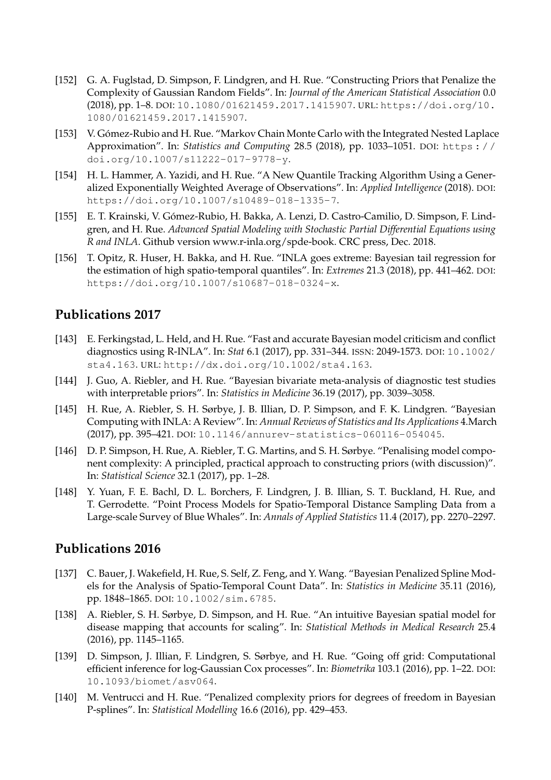- [152] G. A. Fuglstad, D. Simpson, F. Lindgren, and H. Rue. "Constructing Priors that Penalize the Complexity of Gaussian Random Fields". In: *Journal of the American Statistical Association* 0.0 (2018), pp. 1–8. DOI: 10.1080/01621459.2017.1415907. URL: https://doi.org/10. 1080/01621459.2017.1415907.
- [153] V. Gómez-Rubio and H. Rue. "Markov Chain Monte Carlo with the Integrated Nested Laplace Approximation". In: *Statistics and Computing* 28.5 (2018), pp. 1033–1051. DOI: https : / / doi.org/10.1007/s11222-017-9778-y.
- [154] H. L. Hammer, A. Yazidi, and H. Rue. "A New Quantile Tracking Algorithm Using a Generalized Exponentially Weighted Average of Observations". In: *Applied Intelligence* (2018). DOI: https://doi.org/10.1007/s10489-018-1335-7.
- [155] E. T. Krainski, V. Gómez-Rubio, H. Bakka, A. Lenzi, D. Castro-Camilio, D. Simpson, F. Lindgren, and H. Rue. *Advanced Spatial Modeling with Stochastic Partial Differential Equations using R and INLA*. Github version www.r-inla.org/spde-book. CRC press, Dec. 2018.
- [156] T. Opitz, R. Huser, H. Bakka, and H. Rue. "INLA goes extreme: Bayesian tail regression for the estimation of high spatio-temporal quantiles". In: *Extremes* 21.3 (2018), pp. 441–462. DOI: https://doi.org/10.1007/s10687-018-0324-x.

- [143] E. Ferkingstad, L. Held, and H. Rue. "Fast and accurate Bayesian model criticism and conflict diagnostics using R-INLA". In: *Stat* 6.1 (2017), pp. 331–344. ISSN: 2049-1573. DOI: 10.1002/ sta4.163. URL: http://dx.doi.org/10.1002/sta4.163.
- [144] J. Guo, A. Riebler, and H. Rue. "Bayesian bivariate meta-analysis of diagnostic test studies with interpretable priors". In: *Statistics in Medicine* 36.19 (2017), pp. 3039–3058.
- [145] H. Rue, A. Riebler, S. H. Sørbye, J. B. Illian, D. P. Simpson, and F. K. Lindgren. "Bayesian Computing with INLA: A Review". In: *Annual Reviews of Statistics and Its Applications* 4.March (2017), pp. 395–421. DOI: 10.1146/annurev-statistics-060116-054045.
- [146] D. P. Simpson, H. Rue, A. Riebler, T. G. Martins, and S. H. Sørbye. "Penalising model component complexity: A principled, practical approach to constructing priors (with discussion)". In: *Statistical Science* 32.1 (2017), pp. 1–28.
- [148] Y. Yuan, F. E. Bachl, D. L. Borchers, F. Lindgren, J. B. Illian, S. T. Buckland, H. Rue, and T. Gerrodette. "Point Process Models for Spatio-Temporal Distance Sampling Data from a Large-scale Survey of Blue Whales". In: *Annals of Applied Statistics* 11.4 (2017), pp. 2270–2297.

- [137] C. Bauer, J. Wakefield, H. Rue, S. Self, Z. Feng, and Y. Wang. "Bayesian Penalized Spline Models for the Analysis of Spatio-Temporal Count Data". In: *Statistics in Medicine* 35.11 (2016), pp. 1848–1865. DOI: 10.1002/sim.6785.
- [138] A. Riebler, S. H. Sørbye, D. Simpson, and H. Rue. "An intuitive Bayesian spatial model for disease mapping that accounts for scaling". In: *Statistical Methods in Medical Research* 25.4 (2016), pp. 1145–1165.
- [139] D. Simpson, J. Illian, F. Lindgren, S. Sørbye, and H. Rue. "Going off grid: Computational efficient inference for log-Gaussian Cox processes". In: *Biometrika* 103.1 (2016), pp. 1–22. DOI: 10.1093/biomet/asv064.
- [140] M. Ventrucci and H. Rue. "Penalized complexity priors for degrees of freedom in Bayesian P-splines". In: *Statistical Modelling* 16.6 (2016), pp. 429–453.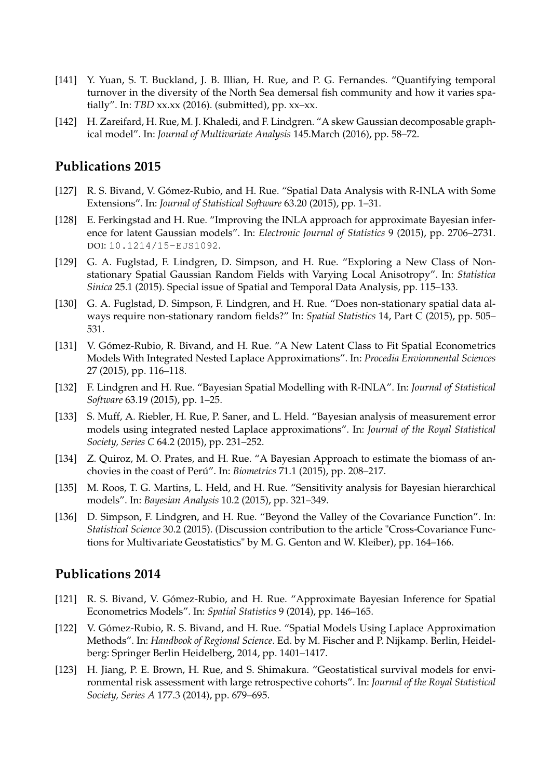- [141] Y. Yuan, S. T. Buckland, J. B. Illian, H. Rue, and P. G. Fernandes. "Quantifying temporal turnover in the diversity of the North Sea demersal fish community and how it varies spatially". In: *TBD* xx.xx (2016). (submitted), pp. xx–xx.
- [142] H. Zareifard, H. Rue, M. J. Khaledi, and F. Lindgren. "A skew Gaussian decomposable graphical model". In: *Journal of Multivariate Analysis* 145.March (2016), pp. 58–72.

- [127] R. S. Bivand, V. Gómez-Rubio, and H. Rue. "Spatial Data Analysis with R-INLA with Some Extensions". In: *Journal of Statistical Software* 63.20 (2015), pp. 1–31.
- [128] E. Ferkingstad and H. Rue. "Improving the INLA approach for approximate Bayesian inference for latent Gaussian models". In: *Electronic Journal of Statistics* 9 (2015), pp. 2706–2731. DOI: 10.1214/15-EJS1092.
- [129] G. A. Fuglstad, F. Lindgren, D. Simpson, and H. Rue. "Exploring a New Class of Nonstationary Spatial Gaussian Random Fields with Varying Local Anisotropy". In: *Statistica Sinica* 25.1 (2015). Special issue of Spatial and Temporal Data Analysis, pp. 115–133.
- [130] G. A. Fuglstad, D. Simpson, F. Lindgren, and H. Rue. "Does non-stationary spatial data always require non-stationary random fields?" In: *Spatial Statistics* 14, Part C (2015), pp. 505– 531.
- [131] V. Gómez-Rubio, R. Bivand, and H. Rue. "A New Latent Class to Fit Spatial Econometrics Models With Integrated Nested Laplace Approximations". In: *Procedia Envionmental Sciences* 27 (2015), pp. 116–118.
- [132] F. Lindgren and H. Rue. "Bayesian Spatial Modelling with R-INLA". In: *Journal of Statistical Software* 63.19 (2015), pp. 1–25.
- [133] S. Muff, A. Riebler, H. Rue, P. Saner, and L. Held. "Bayesian analysis of measurement error models using integrated nested Laplace approximations". In: *Journal of the Royal Statistical Society, Series C* 64.2 (2015), pp. 231–252.
- [134] Z. Quiroz, M. O. Prates, and H. Rue. "A Bayesian Approach to estimate the biomass of anchovies in the coast of Perú". In: *Biometrics* 71.1 (2015), pp. 208–217.
- [135] M. Roos, T. G. Martins, L. Held, and H. Rue. "Sensitivity analysis for Bayesian hierarchical models". In: *Bayesian Analysis* 10.2 (2015), pp. 321–349.
- [136] D. Simpson, F. Lindgren, and H. Rue. "Beyond the Valley of the Covariance Function". In: *Statistical Science* 30.2 (2015). (Discussion contribution to the article "Cross-Covariance Functions for Multivariate Geostatistics" by M. G. Genton and W. Kleiber), pp. 164–166.

- [121] R. S. Bivand, V. Gómez-Rubio, and H. Rue. "Approximate Bayesian Inference for Spatial Econometrics Models". In: *Spatial Statistics* 9 (2014), pp. 146–165.
- [122] V. Gómez-Rubio, R. S. Bivand, and H. Rue. "Spatial Models Using Laplace Approximation Methods". In: *Handbook of Regional Science*. Ed. by M. Fischer and P. Nijkamp. Berlin, Heidelberg: Springer Berlin Heidelberg, 2014, pp. 1401–1417.
- [123] H. Jiang, P. E. Brown, H. Rue, and S. Shimakura. "Geostatistical survival models for environmental risk assessment with large retrospective cohorts". In: *Journal of the Royal Statistical Society, Series A* 177.3 (2014), pp. 679–695.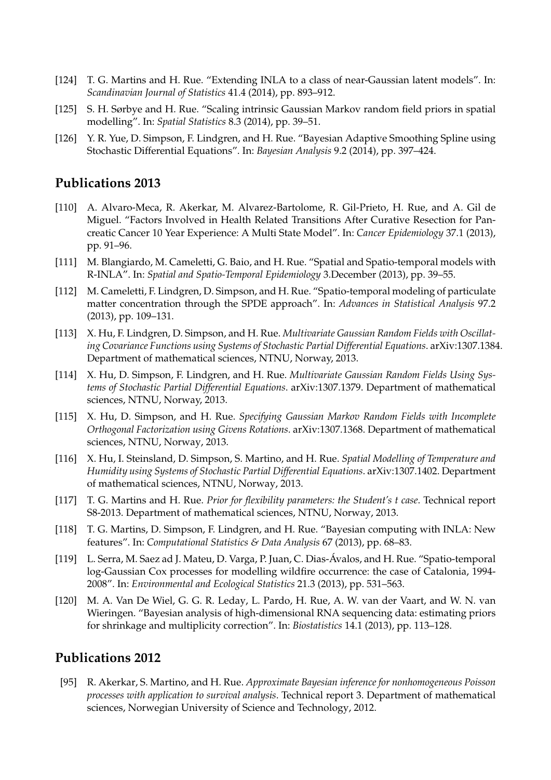- [124] T. G. Martins and H. Rue. "Extending INLA to a class of near-Gaussian latent models". In: *Scandinavian Journal of Statistics* 41.4 (2014), pp. 893–912.
- [125] S. H. Sørbye and H. Rue. "Scaling intrinsic Gaussian Markov random field priors in spatial modelling". In: *Spatial Statistics* 8.3 (2014), pp. 39–51.
- [126] Y. R. Yue, D. Simpson, F. Lindgren, and H. Rue. "Bayesian Adaptive Smoothing Spline using Stochastic Differential Equations". In: *Bayesian Analysis* 9.2 (2014), pp. 397–424.

- [110] A. Alvaro-Meca, R. Akerkar, M. Alvarez-Bartolome, R. Gil-Prieto, H. Rue, and A. Gil de Miguel. "Factors Involved in Health Related Transitions After Curative Resection for Pancreatic Cancer 10 Year Experience: A Multi State Model". In: *Cancer Epidemiology* 37.1 (2013), pp. 91–96.
- [111] M. Blangiardo, M. Cameletti, G. Baio, and H. Rue. "Spatial and Spatio-temporal models with R-INLA". In: *Spatial and Spatio-Temporal Epidemiology* 3.December (2013), pp. 39–55.
- [112] M. Cameletti, F. Lindgren, D. Simpson, and H. Rue. "Spatio-temporal modeling of particulate matter concentration through the SPDE approach". In: *Advances in Statistical Analysis* 97.2 (2013), pp. 109–131.
- [113] X. Hu, F. Lindgren, D. Simpson, and H. Rue. *Multivariate Gaussian Random Fields with Oscillating Covariance Functions using Systems of Stochastic Partial Differential Equations*. arXiv:1307.1384. Department of mathematical sciences, NTNU, Norway, 2013.
- [114] X. Hu, D. Simpson, F. Lindgren, and H. Rue. *Multivariate Gaussian Random Fields Using Systems of Stochastic Partial Differential Equations*. arXiv:1307.1379. Department of mathematical sciences, NTNU, Norway, 2013.
- [115] X. Hu, D. Simpson, and H. Rue. *Specifying Gaussian Markov Random Fields with Incomplete Orthogonal Factorization using Givens Rotations*. arXiv:1307.1368. Department of mathematical sciences, NTNU, Norway, 2013.
- [116] X. Hu, I. Steinsland, D. Simpson, S. Martino, and H. Rue. *Spatial Modelling of Temperature and Humidity using Systems of Stochastic Partial Differential Equations*. arXiv:1307.1402. Department of mathematical sciences, NTNU, Norway, 2013.
- [117] T. G. Martins and H. Rue. *Prior for flexibility parameters: the Student's t case*. Technical report S8-2013. Department of mathematical sciences, NTNU, Norway, 2013.
- [118] T. G. Martins, D. Simpson, F. Lindgren, and H. Rue. "Bayesian computing with INLA: New features". In: *Computational Statistics & Data Analysis* 67 (2013), pp. 68–83.
- [119] L. Serra, M. Saez ad J. Mateu, D. Varga, P. Juan, C. Dias-Ávalos, and H. Rue. "Spatio-temporal log-Gaussian Cox processes for modelling wildfire occurrence: the case of Catalonia, 1994- 2008". In: *Environmental and Ecological Statistics* 21.3 (2013), pp. 531–563.
- [120] M. A. Van De Wiel, G. G. R. Leday, L. Pardo, H. Rue, A. W. van der Vaart, and W. N. van Wieringen. "Bayesian analysis of high-dimensional RNA sequencing data: estimating priors for shrinkage and multiplicity correction". In: *Biostatistics* 14.1 (2013), pp. 113–128.

# **Publications 2012**

[95] R. Akerkar, S. Martino, and H. Rue. *Approximate Bayesian inference for nonhomogeneous Poisson processes with application to survival analysis*. Technical report 3. Department of mathematical sciences, Norwegian University of Science and Technology, 2012.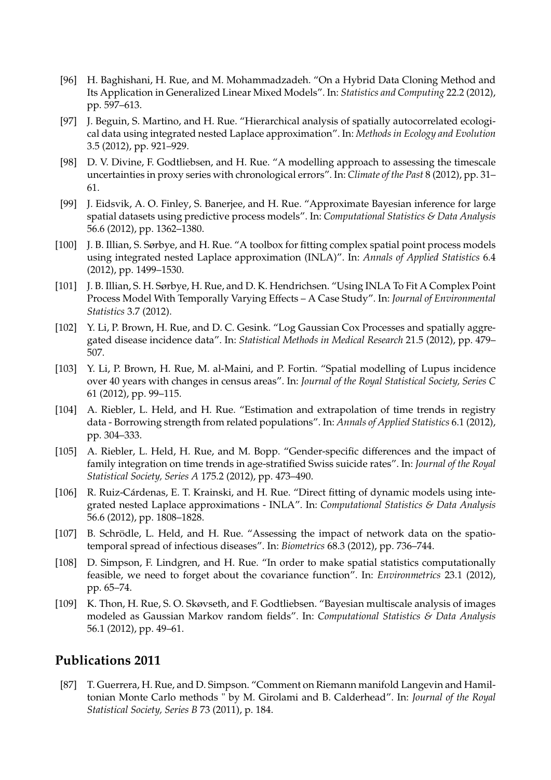- [96] H. Baghishani, H. Rue, and M. Mohammadzadeh. "On a Hybrid Data Cloning Method and Its Application in Generalized Linear Mixed Models". In: *Statistics and Computing* 22.2 (2012), pp. 597–613.
- [97] J. Beguin, S. Martino, and H. Rue. "Hierarchical analysis of spatially autocorrelated ecological data using integrated nested Laplace approximation". In: *Methods in Ecology and Evolution* 3.5 (2012), pp. 921–929.
- [98] D. V. Divine, F. Godtliebsen, and H. Rue. "A modelling approach to assessing the timescale uncertainties in proxy series with chronological errors". In: *Climate of the Past* 8 (2012), pp. 31– 61.
- [99] J. Eidsvik, A. O. Finley, S. Banerjee, and H. Rue. "Approximate Bayesian inference for large spatial datasets using predictive process models". In: *Computational Statistics & Data Analysis* 56.6 (2012), pp. 1362–1380.
- [100] J. B. Illian, S. Sørbye, and H. Rue. "A toolbox for fitting complex spatial point process models using integrated nested Laplace approximation (INLA)". In: *Annals of Applied Statistics* 6.4 (2012), pp. 1499–1530.
- [101] J. B. Illian, S. H. Sørbye, H. Rue, and D. K. Hendrichsen. "Using INLA To Fit A Complex Point Process Model With Temporally Varying Effects – A Case Study". In: *Journal of Environmental Statistics* 3.7 (2012).
- [102] Y. Li, P. Brown, H. Rue, and D. C. Gesink. "Log Gaussian Cox Processes and spatially aggregated disease incidence data". In: *Statistical Methods in Medical Research* 21.5 (2012), pp. 479– 507.
- [103] Y. Li, P. Brown, H. Rue, M. al-Maini, and P. Fortin. "Spatial modelling of Lupus incidence over 40 years with changes in census areas". In: *Journal of the Royal Statistical Society, Series C* 61 (2012), pp. 99–115.
- [104] A. Riebler, L. Held, and H. Rue. "Estimation and extrapolation of time trends in registry data - Borrowing strength from related populations". In: *Annals of Applied Statistics* 6.1 (2012), pp. 304–333.
- [105] A. Riebler, L. Held, H. Rue, and M. Bopp. "Gender-specific differences and the impact of family integration on time trends in age-stratified Swiss suicide rates". In: *Journal of the Royal Statistical Society, Series A* 175.2 (2012), pp. 473–490.
- [106] R. Ruiz-Cárdenas, E. T. Krainski, and H. Rue. "Direct fitting of dynamic models using integrated nested Laplace approximations - INLA". In: *Computational Statistics & Data Analysis* 56.6 (2012), pp. 1808–1828.
- [107] B. Schrödle, L. Held, and H. Rue. "Assessing the impact of network data on the spatiotemporal spread of infectious diseases". In: *Biometrics* 68.3 (2012), pp. 736–744.
- [108] D. Simpson, F. Lindgren, and H. Rue. "In order to make spatial statistics computationally feasible, we need to forget about the covariance function". In: *Environmetrics* 23.1 (2012), pp. 65–74.
- [109] K. Thon, H. Rue, S. O. Skøvseth, and F. Godtliebsen. "Bayesian multiscale analysis of images modeled as Gaussian Markov random fields". In: *Computational Statistics & Data Analysis* 56.1 (2012), pp. 49–61.

[87] T. Guerrera, H. Rue, and D. Simpson. "Comment on Riemann manifold Langevin and Hamiltonian Monte Carlo methods " by M. Girolami and B. Calderhead". In: *Journal of the Royal Statistical Society, Series B* 73 (2011), p. 184.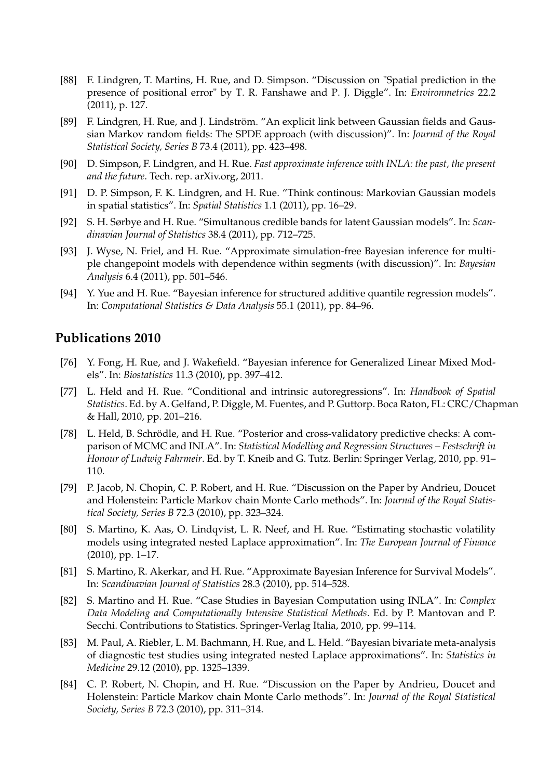- [88] F. Lindgren, T. Martins, H. Rue, and D. Simpson. "Discussion on "Spatial prediction in the presence of positional error" by T. R. Fanshawe and P. J. Diggle". In: *Environmetrics* 22.2 (2011), p. 127.
- [89] F. Lindgren, H. Rue, and J. Lindström. "An explicit link between Gaussian fields and Gaussian Markov random fields: The SPDE approach (with discussion)". In: *Journal of the Royal Statistical Society, Series B* 73.4 (2011), pp. 423–498.
- [90] D. Simpson, F. Lindgren, and H. Rue. *Fast approximate inference with INLA: the past, the present and the future*. Tech. rep. arXiv.org, 2011.
- [91] D. P. Simpson, F. K. Lindgren, and H. Rue. "Think continous: Markovian Gaussian models in spatial statistics". In: *Spatial Statistics* 1.1 (2011), pp. 16–29.
- [92] S. H. Sørbye and H. Rue. "Simultanous credible bands for latent Gaussian models". In: *Scandinavian Journal of Statistics* 38.4 (2011), pp. 712–725.
- [93] J. Wyse, N. Friel, and H. Rue. "Approximate simulation-free Bayesian inference for multiple changepoint models with dependence within segments (with discussion)". In: *Bayesian Analysis* 6.4 (2011), pp. 501–546.
- [94] Y. Yue and H. Rue. "Bayesian inference for structured additive quantile regression models". In: *Computational Statistics & Data Analysis* 55.1 (2011), pp. 84–96.

- [76] Y. Fong, H. Rue, and J. Wakefield. "Bayesian inference for Generalized Linear Mixed Models". In: *Biostatistics* 11.3 (2010), pp. 397–412.
- [77] L. Held and H. Rue. "Conditional and intrinsic autoregressions". In: *Handbook of Spatial Statistics*. Ed. by A. Gelfand, P. Diggle, M. Fuentes, and P. Guttorp. Boca Raton, FL: CRC/Chapman & Hall, 2010, pp. 201–216.
- [78] L. Held, B. Schrödle, and H. Rue. "Posterior and cross-validatory predictive checks: A comparison of MCMC and INLA". In: *Statistical Modelling and Regression Structures – Festschrift in Honour of Ludwig Fahrmeir*. Ed. by T. Kneib and G. Tutz. Berlin: Springer Verlag, 2010, pp. 91– 110.
- [79] P. Jacob, N. Chopin, C. P. Robert, and H. Rue. "Discussion on the Paper by Andrieu, Doucet and Holenstein: Particle Markov chain Monte Carlo methods". In: *Journal of the Royal Statistical Society, Series B* 72.3 (2010), pp. 323–324.
- [80] S. Martino, K. Aas, O. Lindqvist, L. R. Neef, and H. Rue. "Estimating stochastic volatility models using integrated nested Laplace approximation". In: *The European Journal of Finance* (2010), pp. 1–17.
- [81] S. Martino, R. Akerkar, and H. Rue. "Approximate Bayesian Inference for Survival Models". In: *Scandinavian Journal of Statistics* 28.3 (2010), pp. 514–528.
- [82] S. Martino and H. Rue. "Case Studies in Bayesian Computation using INLA". In: *Complex Data Modeling and Computationally Intensive Statistical Methods*. Ed. by P. Mantovan and P. Secchi. Contributions to Statistics. Springer-Verlag Italia, 2010, pp. 99–114.
- [83] M. Paul, A. Riebler, L. M. Bachmann, H. Rue, and L. Held. "Bayesian bivariate meta-analysis of diagnostic test studies using integrated nested Laplace approximations". In: *Statistics in Medicine* 29.12 (2010), pp. 1325–1339.
- [84] C. P. Robert, N. Chopin, and H. Rue. "Discussion on the Paper by Andrieu, Doucet and Holenstein: Particle Markov chain Monte Carlo methods". In: *Journal of the Royal Statistical Society, Series B* 72.3 (2010), pp. 311–314.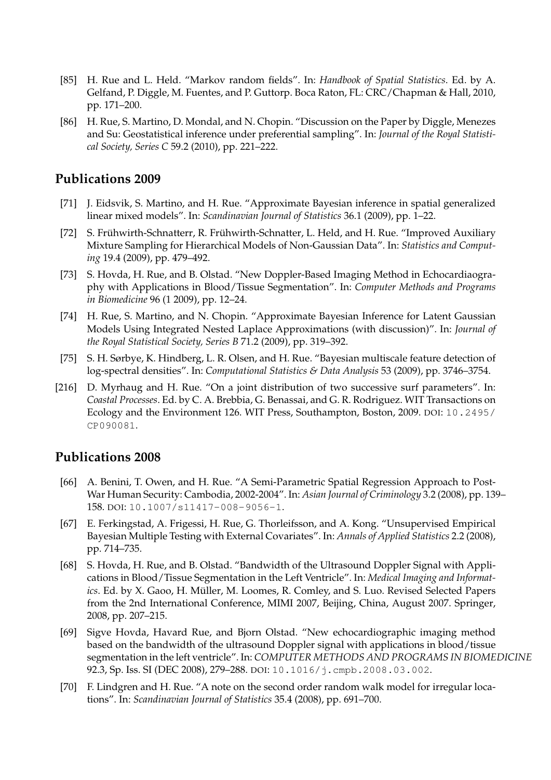- [85] H. Rue and L. Held. "Markov random fields". In: *Handbook of Spatial Statistics*. Ed. by A. Gelfand, P. Diggle, M. Fuentes, and P. Guttorp. Boca Raton, FL: CRC/Chapman & Hall, 2010, pp. 171–200.
- [86] H. Rue, S. Martino, D. Mondal, and N. Chopin. "Discussion on the Paper by Diggle, Menezes and Su: Geostatistical inference under preferential sampling". In: *Journal of the Royal Statistical Society, Series C* 59.2 (2010), pp. 221–222.

- [71] J. Eidsvik, S. Martino, and H. Rue. "Approximate Bayesian inference in spatial generalized linear mixed models". In: *Scandinavian Journal of Statistics* 36.1 (2009), pp. 1–22.
- [72] S. Frühwirth-Schnatterr, R. Frühwirth-Schnatter, L. Held, and H. Rue. "Improved Auxiliary Mixture Sampling for Hierarchical Models of Non-Gaussian Data". In: *Statistics and Computing* 19.4 (2009), pp. 479–492.
- [73] S. Hovda, H. Rue, and B. Olstad. "New Doppler-Based Imaging Method in Echocardiaography with Applications in Blood/Tissue Segmentation". In: *Computer Methods and Programs in Biomedicine* 96 (1 2009), pp. 12–24.
- [74] H. Rue, S. Martino, and N. Chopin. "Approximate Bayesian Inference for Latent Gaussian Models Using Integrated Nested Laplace Approximations (with discussion)". In: *Journal of the Royal Statistical Society, Series B* 71.2 (2009), pp. 319–392.
- [75] S. H. Sørbye, K. Hindberg, L. R. Olsen, and H. Rue. "Bayesian multiscale feature detection of log-spectral densities". In: *Computational Statistics & Data Analysis* 53 (2009), pp. 3746–3754.
- [216] D. Myrhaug and H. Rue. "On a joint distribution of two successive surf parameters". In: *Coastal Processes*. Ed. by C. A. Brebbia, G. Benassai, and G. R. Rodriguez. WIT Transactions on Ecology and the Environment 126. WIT Press, Southampton, Boston, 2009. DOI: 10.2495/ CP090081.

- [66] A. Benini, T. Owen, and H. Rue. "A Semi-Parametric Spatial Regression Approach to Post-War Human Security: Cambodia, 2002-2004". In: *Asian Journal of Criminology* 3.2 (2008), pp. 139– 158. DOI: 10.1007/s11417-008-9056-1.
- [67] E. Ferkingstad, A. Frigessi, H. Rue, G. Thorleifsson, and A. Kong. "Unsupervised Empirical Bayesian Multiple Testing with External Covariates". In: *Annals of Applied Statistics* 2.2 (2008), pp. 714–735.
- [68] S. Hovda, H. Rue, and B. Olstad. "Bandwidth of the Ultrasound Doppler Signal with Applications in Blood/Tissue Segmentation in the Left Ventricle". In: *Medical Imaging and Informatics*. Ed. by X. Gaoo, H. Müller, M. Loomes, R. Comley, and S. Luo. Revised Selected Papers from the 2nd International Conference, MIMI 2007, Beijing, China, August 2007. Springer, 2008, pp. 207–215.
- [69] Sigve Hovda, Havard Rue, and Bjorn Olstad. "New echocardiographic imaging method based on the bandwidth of the ultrasound Doppler signal with applications in blood/tissue segmentation in the left ventricle". In: *COMPUTER METHODS AND PROGRAMS IN BIOMEDICINE* 92.3, Sp. Iss. SI (DEC 2008), 279–288. DOI: 10.1016/j.cmpb.2008.03.002.
- [70] F. Lindgren and H. Rue. "A note on the second order random walk model for irregular locations". In: *Scandinavian Journal of Statistics* 35.4 (2008), pp. 691–700.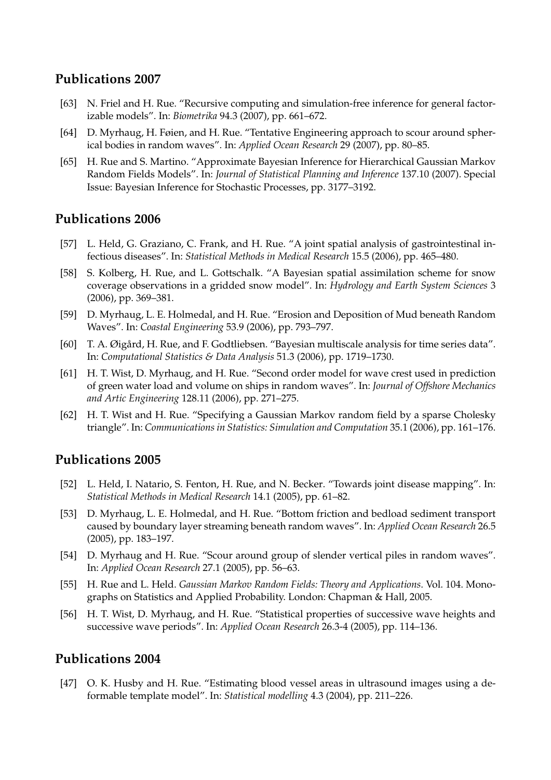- [63] N. Friel and H. Rue. "Recursive computing and simulation-free inference for general factorizable models". In: *Biometrika* 94.3 (2007), pp. 661–672.
- [64] D. Myrhaug, H. Føien, and H. Rue. "Tentative Engineering approach to scour around spherical bodies in random waves". In: *Applied Ocean Research* 29 (2007), pp. 80–85.
- [65] H. Rue and S. Martino. "Approximate Bayesian Inference for Hierarchical Gaussian Markov Random Fields Models". In: *Journal of Statistical Planning and Inference* 137.10 (2007). Special Issue: Bayesian Inference for Stochastic Processes, pp. 3177–3192.

# **Publications 2006**

- [57] L. Held, G. Graziano, C. Frank, and H. Rue. "A joint spatial analysis of gastrointestinal infectious diseases". In: *Statistical Methods in Medical Research* 15.5 (2006), pp. 465–480.
- [58] S. Kolberg, H. Rue, and L. Gottschalk. "A Bayesian spatial assimilation scheme for snow coverage observations in a gridded snow model". In: *Hydrology and Earth System Sciences* 3 (2006), pp. 369–381.
- [59] D. Myrhaug, L. E. Holmedal, and H. Rue. "Erosion and Deposition of Mud beneath Random Waves". In: *Coastal Engineering* 53.9 (2006), pp. 793–797.
- [60] T. A. Øigård, H. Rue, and F. Godtliebsen. "Bayesian multiscale analysis for time series data". In: *Computational Statistics & Data Analysis* 51.3 (2006), pp. 1719–1730.
- [61] H. T. Wist, D. Myrhaug, and H. Rue. "Second order model for wave crest used in prediction of green water load and volume on ships in random waves". In: *Journal of Offshore Mechanics and Artic Engineering* 128.11 (2006), pp. 271–275.
- [62] H. T. Wist and H. Rue. "Specifying a Gaussian Markov random field by a sparse Cholesky triangle". In: *Communications in Statistics: Simulation and Computation* 35.1 (2006), pp. 161–176.

# **Publications 2005**

- [52] L. Held, I. Natario, S. Fenton, H. Rue, and N. Becker. "Towards joint disease mapping". In: *Statistical Methods in Medical Research* 14.1 (2005), pp. 61–82.
- [53] D. Myrhaug, L. E. Holmedal, and H. Rue. "Bottom friction and bedload sediment transport caused by boundary layer streaming beneath random waves". In: *Applied Ocean Research* 26.5 (2005), pp. 183–197.
- [54] D. Myrhaug and H. Rue. "Scour around group of slender vertical piles in random waves". In: *Applied Ocean Research* 27.1 (2005), pp. 56–63.
- [55] H. Rue and L. Held. *Gaussian Markov Random Fields: Theory and Applications*. Vol. 104. Monographs on Statistics and Applied Probability. London: Chapman & Hall, 2005.
- [56] H. T. Wist, D. Myrhaug, and H. Rue. "Statistical properties of successive wave heights and successive wave periods". In: *Applied Ocean Research* 26.3-4 (2005), pp. 114–136.

# **Publications 2004**

[47] O. K. Husby and H. Rue. "Estimating blood vessel areas in ultrasound images using a deformable template model". In: *Statistical modelling* 4.3 (2004), pp. 211–226.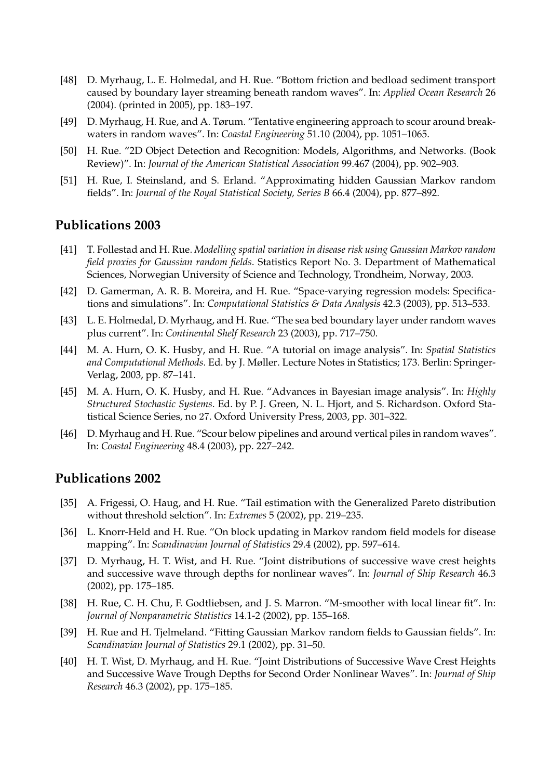- [48] D. Myrhaug, L. E. Holmedal, and H. Rue. "Bottom friction and bedload sediment transport caused by boundary layer streaming beneath random waves". In: *Applied Ocean Research* 26 (2004). (printed in 2005), pp. 183–197.
- [49] D. Myrhaug, H. Rue, and A. Tørum. "Tentative engineering approach to scour around breakwaters in random waves". In: *Coastal Engineering* 51.10 (2004), pp. 1051–1065.
- [50] H. Rue. "2D Object Detection and Recognition: Models, Algorithms, and Networks. (Book Review)". In: *Journal of the American Statistical Association* 99.467 (2004), pp. 902–903.
- [51] H. Rue, I. Steinsland, and S. Erland. "Approximating hidden Gaussian Markov random fields". In: *Journal of the Royal Statistical Society, Series B* 66.4 (2004), pp. 877–892.

- [41] T. Follestad and H. Rue. *Modelling spatial variation in disease risk using Gaussian Markov random field proxies for Gaussian random fields*. Statistics Report No. 3. Department of Mathematical Sciences, Norwegian University of Science and Technology, Trondheim, Norway, 2003.
- [42] D. Gamerman, A. R. B. Moreira, and H. Rue. "Space-varying regression models: Specifications and simulations". In: *Computational Statistics & Data Analysis* 42.3 (2003), pp. 513–533.
- [43] L. E. Holmedal, D. Myrhaug, and H. Rue. "The sea bed boundary layer under random waves plus current". In: *Continental Shelf Research* 23 (2003), pp. 717–750.
- [44] M. A. Hurn, O. K. Husby, and H. Rue. "A tutorial on image analysis". In: *Spatial Statistics and Computational Methods*. Ed. by J. Møller. Lecture Notes in Statistics; 173. Berlin: Springer-Verlag, 2003, pp. 87–141.
- [45] M. A. Hurn, O. K. Husby, and H. Rue. "Advances in Bayesian image analysis". In: *Highly Structured Stochastic Systems*. Ed. by P. J. Green, N. L. Hjort, and S. Richardson. Oxford Statistical Science Series, no 27. Oxford University Press, 2003, pp. 301–322.
- [46] D. Myrhaug and H. Rue. "Scour below pipelines and around vertical piles in random waves". In: *Coastal Engineering* 48.4 (2003), pp. 227–242.

- [35] A. Frigessi, O. Haug, and H. Rue. "Tail estimation with the Generalized Pareto distribution without threshold selction". In: *Extremes* 5 (2002), pp. 219–235.
- [36] L. Knorr-Held and H. Rue. "On block updating in Markov random field models for disease mapping". In: *Scandinavian Journal of Statistics* 29.4 (2002), pp. 597–614.
- [37] D. Myrhaug, H. T. Wist, and H. Rue. "Joint distributions of successive wave crest heights and successive wave through depths for nonlinear waves". In: *Journal of Ship Research* 46.3 (2002), pp. 175–185.
- [38] H. Rue, C. H. Chu, F. Godtliebsen, and J. S. Marron. "M-smoother with local linear fit". In: *Journal of Nonparametric Statistics* 14.1-2 (2002), pp. 155–168.
- [39] H. Rue and H. Tjelmeland. "Fitting Gaussian Markov random fields to Gaussian fields". In: *Scandinavian Journal of Statistics* 29.1 (2002), pp. 31–50.
- [40] H. T. Wist, D. Myrhaug, and H. Rue. "Joint Distributions of Successive Wave Crest Heights and Successive Wave Trough Depths for Second Order Nonlinear Waves". In: *Journal of Ship Research* 46.3 (2002), pp. 175–185.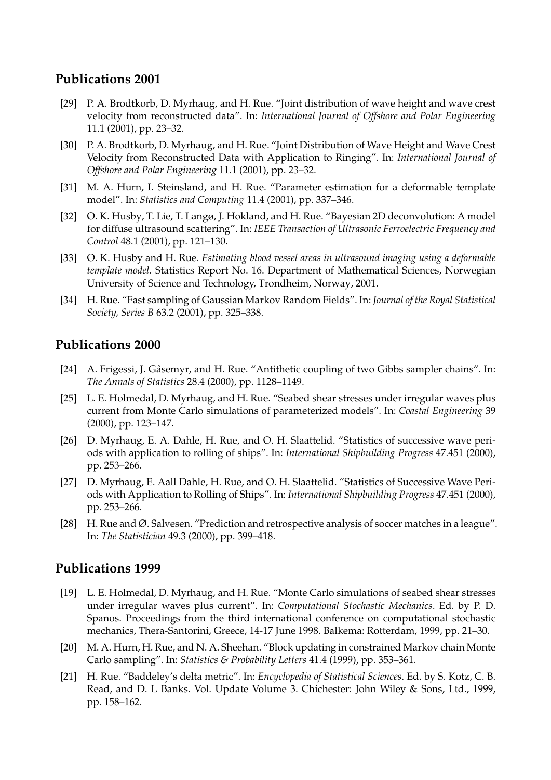- [29] P. A. Brodtkorb, D. Myrhaug, and H. Rue. "Joint distribution of wave height and wave crest velocity from reconstructed data". In: *International Journal of Offshore and Polar Engineering* 11.1 (2001), pp. 23–32.
- [30] P. A. Brodtkorb, D. Myrhaug, and H. Rue. "Joint Distribution of Wave Height and Wave Crest Velocity from Reconstructed Data with Application to Ringing". In: *International Journal of Offshore and Polar Engineering* 11.1 (2001), pp. 23–32.
- [31] M. A. Hurn, I. Steinsland, and H. Rue. "Parameter estimation for a deformable template model". In: *Statistics and Computing* 11.4 (2001), pp. 337–346.
- [32] O. K. Husby, T. Lie, T. Langø, J. Hokland, and H. Rue. "Bayesian 2D deconvolution: A model for diffuse ultrasound scattering". In: *IEEE Transaction of Ultrasonic Ferroelectric Frequency and Control* 48.1 (2001), pp. 121–130.
- [33] O. K. Husby and H. Rue. *Estimating blood vessel areas in ultrasound imaging using a deformable template model*. Statistics Report No. 16. Department of Mathematical Sciences, Norwegian University of Science and Technology, Trondheim, Norway, 2001.
- [34] H. Rue. "Fast sampling of Gaussian Markov Random Fields". In: *Journal of the Royal Statistical Society, Series B* 63.2 (2001), pp. 325–338.

# **Publications 2000**

- [24] A. Frigessi, J. Gåsemyr, and H. Rue. "Antithetic coupling of two Gibbs sampler chains". In: *The Annals of Statistics* 28.4 (2000), pp. 1128–1149.
- [25] L. E. Holmedal, D. Myrhaug, and H. Rue. "Seabed shear stresses under irregular waves plus current from Monte Carlo simulations of parameterized models". In: *Coastal Engineering* 39 (2000), pp. 123–147.
- [26] D. Myrhaug, E. A. Dahle, H. Rue, and O. H. Slaattelid. "Statistics of successive wave periods with application to rolling of ships". In: *International Shipbuilding Progress* 47.451 (2000), pp. 253–266.
- [27] D. Myrhaug, E. Aall Dahle, H. Rue, and O. H. Slaattelid. "Statistics of Successive Wave Periods with Application to Rolling of Ships". In: *International Shipbuilding Progress* 47.451 (2000), pp. 253–266.
- [28] H. Rue and Ø. Salvesen. "Prediction and retrospective analysis of soccer matches in a league". In: *The Statistician* 49.3 (2000), pp. 399–418.

- [19] L. E. Holmedal, D. Myrhaug, and H. Rue. "Monte Carlo simulations of seabed shear stresses under irregular waves plus current". In: *Computational Stochastic Mechanics*. Ed. by P. D. Spanos. Proceedings from the third international conference on computational stochastic mechanics, Thera-Santorini, Greece, 14-17 June 1998. Balkema: Rotterdam, 1999, pp. 21–30.
- [20] M. A. Hurn, H. Rue, and N. A. Sheehan. "Block updating in constrained Markov chain Monte Carlo sampling". In: *Statistics & Probability Letters* 41.4 (1999), pp. 353–361.
- [21] H. Rue. "Baddeley's delta metric". In: *Encyclopedia of Statistical Sciences*. Ed. by S. Kotz, C. B. Read, and D. L Banks. Vol. Update Volume 3. Chichester: John Wiley & Sons, Ltd., 1999, pp. 158–162.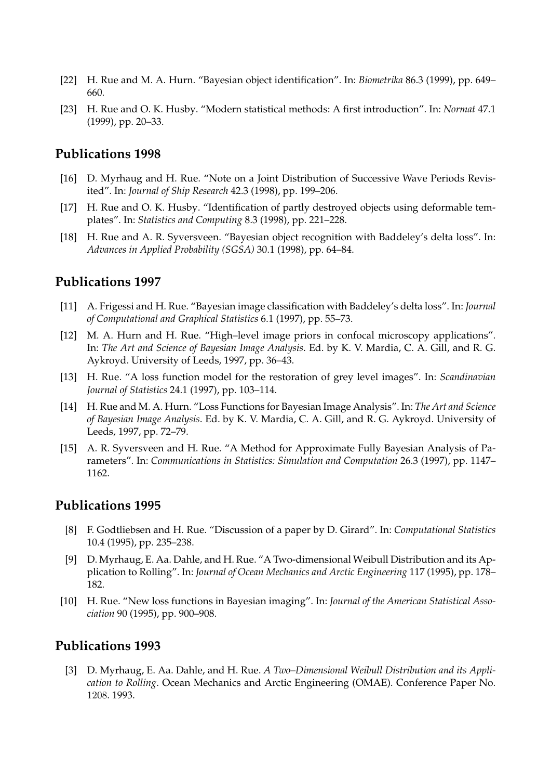- [22] H. Rue and M. A. Hurn. "Bayesian object identification". In: *Biometrika* 86.3 (1999), pp. 649– 660.
- [23] H. Rue and O. K. Husby. "Modern statistical methods: A first introduction". In: *Normat* 47.1 (1999), pp. 20–33.

- [16] D. Myrhaug and H. Rue. "Note on a Joint Distribution of Successive Wave Periods Revisited". In: *Journal of Ship Research* 42.3 (1998), pp. 199–206.
- [17] H. Rue and O. K. Husby. "Identification of partly destroyed objects using deformable templates". In: *Statistics and Computing* 8.3 (1998), pp. 221–228.
- [18] H. Rue and A. R. Syversveen. "Bayesian object recognition with Baddeley's delta loss". In: *Advances in Applied Probability (SGSA)* 30.1 (1998), pp. 64–84.

## **Publications 1997**

- [11] A. Frigessi and H. Rue. "Bayesian image classification with Baddeley's delta loss". In: *Journal of Computational and Graphical Statistics* 6.1 (1997), pp. 55–73.
- [12] M. A. Hurn and H. Rue. "High–level image priors in confocal microscopy applications". In: *The Art and Science of Bayesian Image Analysis*. Ed. by K. V. Mardia, C. A. Gill, and R. G. Aykroyd. University of Leeds, 1997, pp. 36–43.
- [13] H. Rue. "A loss function model for the restoration of grey level images". In: *Scandinavian Journal of Statistics* 24.1 (1997), pp. 103–114.
- [14] H. Rue and M. A. Hurn. "Loss Functions for Bayesian Image Analysis". In: *The Art and Science of Bayesian Image Analysis*. Ed. by K. V. Mardia, C. A. Gill, and R. G. Aykroyd. University of Leeds, 1997, pp. 72–79.
- [15] A. R. Syversveen and H. Rue. "A Method for Approximate Fully Bayesian Analysis of Parameters". In: *Communications in Statistics: Simulation and Computation* 26.3 (1997), pp. 1147– 1162.

#### **Publications 1995**

- [8] F. Godtliebsen and H. Rue. "Discussion of a paper by D. Girard". In: *Computational Statistics* 10.4 (1995), pp. 235–238.
- [9] D. Myrhaug, E. Aa. Dahle, and H. Rue. "A Two-dimensional Weibull Distribution and its Application to Rolling". In: *Journal of Ocean Mechanics and Arctic Engineering* 117 (1995), pp. 178– 182.
- [10] H. Rue. "New loss functions in Bayesian imaging". In: *Journal of the American Statistical Association* 90 (1995), pp. 900–908.

#### **Publications 1993**

[3] D. Myrhaug, E. Aa. Dahle, and H. Rue. *A Two–Dimensional Weibull Distribution and its Application to Rolling*. Ocean Mechanics and Arctic Engineering (OMAE). Conference Paper No. 1208. 1993.